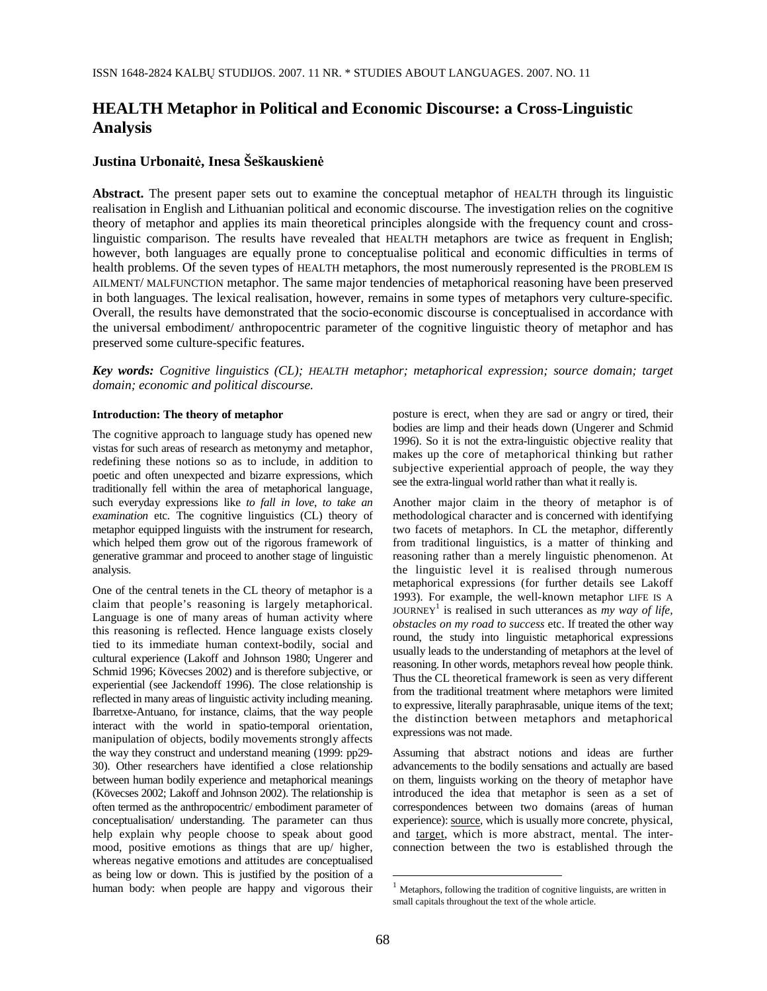# **HEALTH Metaphor in Political and Economic Discourse: a Cross-Linguistic Analysis**

## **Justina Urbonait**÷**, Inesa Šeškauskien**÷

**Abstract.** The present paper sets out to examine the conceptual metaphor of HEALTH through its linguistic realisation in English and Lithuanian political and economic discourse. The investigation relies on the cognitive theory of metaphor and applies its main theoretical principles alongside with the frequency count and crosslinguistic comparison. The results have revealed that HEALTH metaphors are twice as frequent in English; however, both languages are equally prone to conceptualise political and economic difficulties in terms of health problems. Of the seven types of HEALTH metaphors, the most numerously represented is the PROBLEM IS AILMENT/ MALFUNCTION metaphor. The same major tendencies of metaphorical reasoning have been preserved in both languages. The lexical realisation, however, remains in some types of metaphors very culture-specific. Overall, the results have demonstrated that the socio-economic discourse is conceptualised in accordance with the universal embodiment/ anthropocentric parameter of the cognitive linguistic theory of metaphor and has preserved some culture-specific features.

*Key words: Cognitive linguistics (CL); HEALTH metaphor; metaphorical expression; source domain; target domain; economic and political discourse.* 

### **Introduction: The theory of metaphor**

The cognitive approach to language study has opened new vistas for such areas of research as metonymy and metaphor, redefining these notions so as to include, in addition to poetic and often unexpected and bizarre expressions, which traditionally fell within the area of metaphorical language, such everyday expressions like *to fall in love*, *to take an examination* etc. The cognitive linguistics (CL) theory of metaphor equipped linguists with the instrument for research, which helped them grow out of the rigorous framework of generative grammar and proceed to another stage of linguistic analysis.

One of the central tenets in the CL theory of metaphor is a claim that people's reasoning is largely metaphorical. Language is one of many areas of human activity where this reasoning is reflected. Hence language exists closely tied to its immediate human context-bodily, social and cultural experience (Lakoff and Johnson 1980; Ungerer and Schmid 1996; Kövecses 2002) and is therefore subjective, or experiential (see Jackendoff 1996). The close relationship is reflected in many areas of linguistic activity including meaning. Ibarretxe-Antuano, for instance, claims, that the way people interact with the world in spatio-temporal orientation, manipulation of objects, bodily movements strongly affects the way they construct and understand meaning (1999: pp29- 30). Other researchers have identified a close relationship between human bodily experience and metaphorical meanings (Kövecses 2002; Lakoff and Johnson 2002). The relationship is often termed as the anthropocentric/ embodiment parameter of conceptualisation/ understanding. The parameter can thus help explain why people choose to speak about good mood, positive emotions as things that are up/ higher, whereas negative emotions and attitudes are conceptualised as being low or down. This is justified by the position of a human body: when people are happy and vigorous their posture is erect, when they are sad or angry or tired, their bodies are limp and their heads down (Ungerer and Schmid 1996). So it is not the extra-linguistic objective reality that makes up the core of metaphorical thinking but rather subjective experiential approach of people, the way they see the extra-lingual world rather than what it really is.

Another major claim in the theory of metaphor is of methodological character and is concerned with identifying two facets of metaphors. In CL the metaphor, differently from traditional linguistics, is a matter of thinking and reasoning rather than a merely linguistic phenomenon. At the linguistic level it is realised through numerous metaphorical expressions (for further details see Lakoff 1993). For example, the well-known metaphor LIFE IS A JOURNEY<sup>1</sup> is realised in such utterances as  $\frac{1}{my}$  way of life, *obstacles on my road to success* etc. If treated the other way round, the study into linguistic metaphorical expressions usually leads to the understanding of metaphors at the level of reasoning. In other words, metaphors reveal how people think. Thus the CL theoretical framework is seen as very different from the traditional treatment where metaphors were limited to expressive, literally paraphrasable, unique items of the text; the distinction between metaphors and metaphorical expressions was not made.

Assuming that abstract notions and ideas are further advancements to the bodily sensations and actually are based on them, linguists working on the theory of metaphor have introduced the idea that metaphor is seen as a set of correspondences between two domains (areas of human experience): source, which is usually more concrete, physical, and target, which is more abstract, mental. The interconnection between the two is established through the

 $\overline{a}$ 

 $1$  Metaphors, following the tradition of cognitive linguists, are written in small capitals throughout the text of the whole article.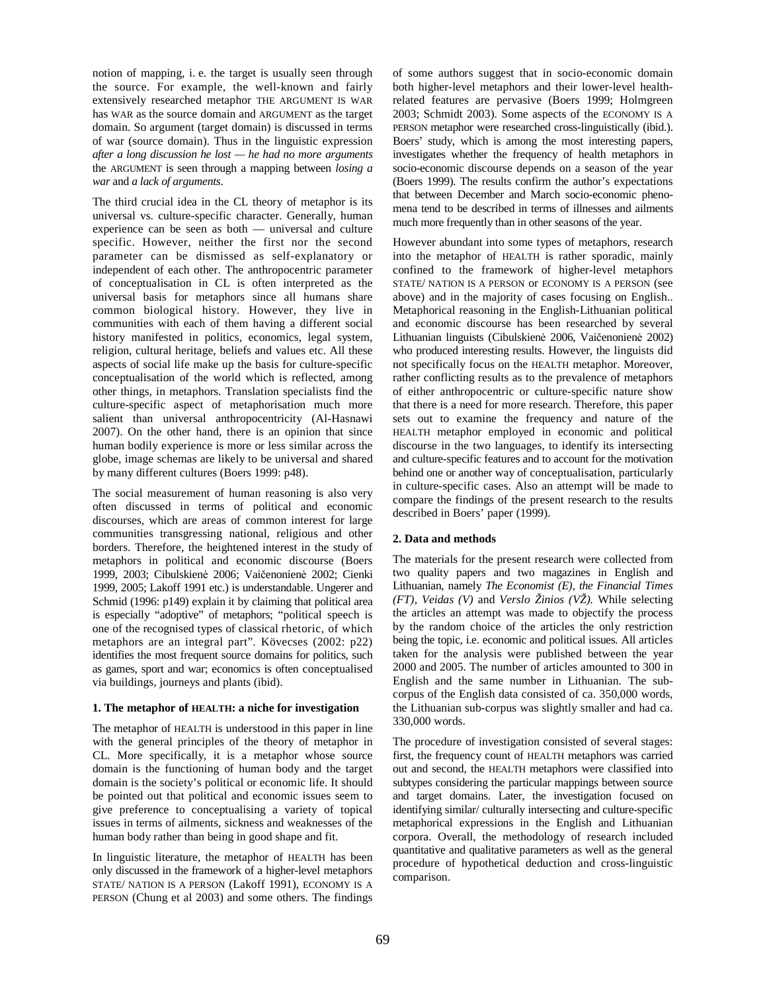notion of mapping, i. e. the target is usually seen through the source. For example, the well-known and fairly extensively researched metaphor THE ARGUMENT IS WAR has WAR as the source domain and ARGUMENT as the target domain. So argument (target domain) is discussed in terms of war (source domain). Thus in the linguistic expression *after a long discussion he lost — he had no more arguments*  the ARGUMENT is seen through a mapping between *losing a war* and *a lack of arguments*.

The third crucial idea in the CL theory of metaphor is its universal vs. culture-specific character. Generally, human experience can be seen as both — universal and culture specific. However, neither the first nor the second parameter can be dismissed as self-explanatory or independent of each other. The anthropocentric parameter of conceptualisation in CL is often interpreted as the universal basis for metaphors since all humans share common biological history. However, they live in communities with each of them having a different social history manifested in politics, economics, legal system, religion, cultural heritage, beliefs and values etc. All these aspects of social life make up the basis for culture-specific conceptualisation of the world which is reflected, among other things, in metaphors. Translation specialists find the culture-specific aspect of metaphorisation much more salient than universal anthropocentricity (Al-Hasnawi 2007). On the other hand, there is an opinion that since human bodily experience is more or less similar across the globe, image schemas are likely to be universal and shared by many different cultures (Boers 1999: p48).

The social measurement of human reasoning is also very often discussed in terms of political and economic discourses, which are areas of common interest for large communities transgressing national, religious and other borders. Therefore, the heightened interest in the study of metaphors in political and economic discourse (Boers 1999, 2003; Cibulskienė 2006; Vaičenonienė 2002; Cienki 1999, 2005; Lakoff 1991 etc.) is understandable. Ungerer and Schmid (1996: p149) explain it by claiming that political area is especially "adoptive" of metaphors; "political speech is one of the recognised types of classical rhetoric, of which metaphors are an integral part". Kövecses (2002: p22) identifies the most frequent source domains for politics, such as games, sport and war; economics is often conceptualised via buildings, journeys and plants (ibid).

### **1. The metaphor of HEALTH: a niche for investigation**

The metaphor of HEALTH is understood in this paper in line with the general principles of the theory of metaphor in CL. More specifically, it is a metaphor whose source domain is the functioning of human body and the target domain is the society's political or economic life. It should be pointed out that political and economic issues seem to give preference to conceptualising a variety of topical issues in terms of ailments, sickness and weaknesses of the human body rather than being in good shape and fit.

In linguistic literature, the metaphor of HEALTH has been only discussed in the framework of a higher-level metaphors STATE/ NATION IS A PERSON (Lakoff 1991), ECONOMY IS A PERSON (Chung et al 2003) and some others. The findings

of some authors suggest that in socio-economic domain both higher-level metaphors and their lower-level healthrelated features are pervasive (Boers 1999; Holmgreen 2003; Schmidt 2003). Some aspects of the ECONOMY IS A PERSON metaphor were researched cross-linguistically (ibid.). Boers' study, which is among the most interesting papers, investigates whether the frequency of health metaphors in socio-economic discourse depends on a season of the year (Boers 1999). The results confirm the author's expectations that between December and March socio-economic phenomena tend to be described in terms of illnesses and ailments much more frequently than in other seasons of the year.

However abundant into some types of metaphors, research into the metaphor of HEALTH is rather sporadic, mainly confined to the framework of higher-level metaphors STATE/ NATION IS A PERSON or ECONOMY IS A PERSON (see above) and in the majority of cases focusing on English.. Metaphorical reasoning in the English-Lithuanian political and economic discourse has been researched by several Lithuanian linguists (Cibulskienė 2006, Vaičenonienė 2002) who produced interesting results. However, the linguists did not specifically focus on the HEALTH metaphor. Moreover, rather conflicting results as to the prevalence of metaphors of either anthropocentric or culture-specific nature show that there is a need for more research. Therefore, this paper sets out to examine the frequency and nature of the HEALTH metaphor employed in economic and political discourse in the two languages, to identify its intersecting and culture-specific features and to account for the motivation behind one or another way of conceptualisation, particularly in culture-specific cases. Also an attempt will be made to compare the findings of the present research to the results described in Boers' paper (1999).

## **2. Data and methods**

The materials for the present research were collected from two quality papers and two magazines in English and Lithuanian, namely *The Economist (E), the Financial Times (FT), Veidas (V)* and *Verslo Žinios (VŽ).* While selecting the articles an attempt was made to objectify the process by the random choice of the articles the only restriction being the topic, i.e. economic and political issues. All articles taken for the analysis were published between the year 2000 and 2005. The number of articles amounted to 300 in English and the same number in Lithuanian. The subcorpus of the English data consisted of ca. 350,000 words, the Lithuanian sub-corpus was slightly smaller and had ca. 330,000 words.

The procedure of investigation consisted of several stages: first, the frequency count of HEALTH metaphors was carried out and second, the HEALTH metaphors were classified into subtypes considering the particular mappings between source and target domains. Later, the investigation focused on identifying similar/ culturally intersecting and culture-specific metaphorical expressions in the English and Lithuanian corpora. Overall, the methodology of research included quantitative and qualitative parameters as well as the general procedure of hypothetical deduction and cross-linguistic comparison.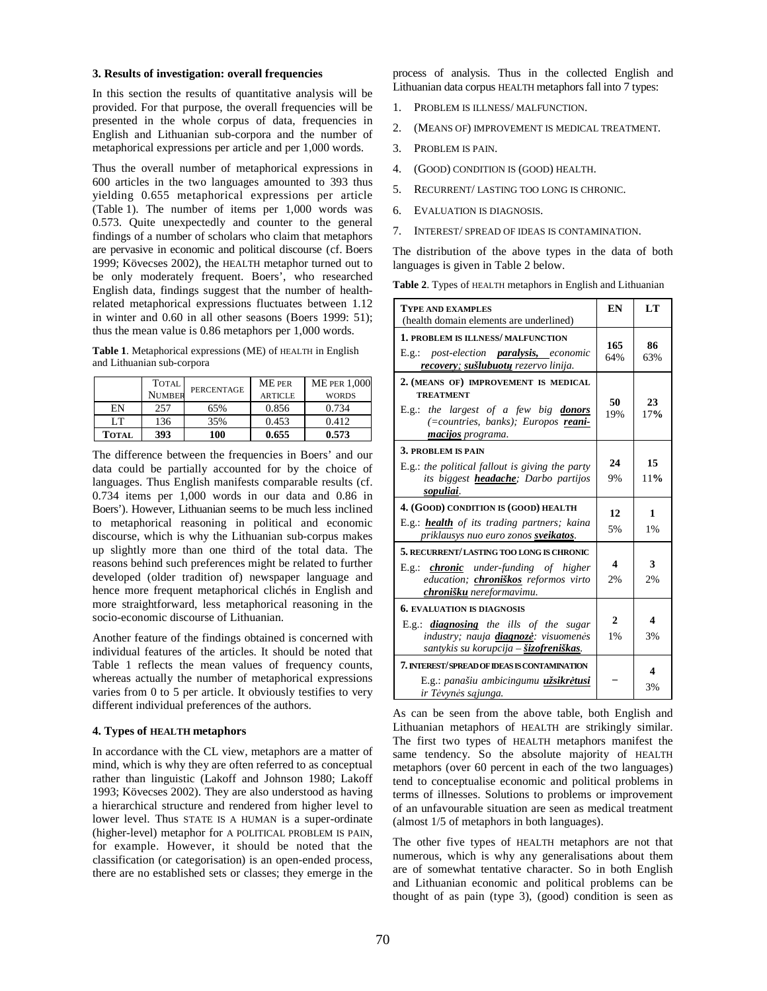#### **3. Results of investigation: overall frequencies**

In this section the results of quantitative analysis will be provided. For that purpose, the overall frequencies will be presented in the whole corpus of data, frequencies in English and Lithuanian sub-corpora and the number of metaphorical expressions per article and per 1,000 words.

Thus the overall number of metaphorical expressions in 600 articles in the two languages amounted to 393 thus yielding 0.655 metaphorical expressions per article (Table 1). The number of items per 1,000 words was 0.573. Quite unexpectedly and counter to the general findings of a number of scholars who claim that metaphors are pervasive in economic and political discourse (cf. Boers 1999; Kövecses 2002), the HEALTH metaphor turned out to be only moderately frequent. Boers', who researched English data, findings suggest that the number of healthrelated metaphorical expressions fluctuates between 1.12 in winter and 0.60 in all other seasons (Boers 1999: 51); thus the mean value is 0.86 metaphors per 1,000 words.

**Table 1**. Metaphorical expressions (ME) of HEALTH in English and Lithuanian sub-corpora

|              | <b>TOTAL</b>  | <b>PERCENTAGE</b> | <b>ME PER</b>  | <b>ME PER 1.000</b> |
|--------------|---------------|-------------------|----------------|---------------------|
|              | <b>NUMBER</b> |                   | <b>ARTICLE</b> | <b>WORDS</b>        |
| EN           | 257           | 65%               | 0.856          | 0.734               |
| LT           | 136           | 35%               | 0.453          | 0.412               |
| <b>TOTAL</b> | 393           | 100               | 0.655          | 0.573               |

The difference between the frequencies in Boers' and our data could be partially accounted for by the choice of languages. Thus English manifests comparable results (cf. 0.734 items per 1,000 words in our data and 0.86 in Boers'). However, Lithuanian seems to be much less inclined to metaphorical reasoning in political and economic discourse, which is why the Lithuanian sub-corpus makes up slightly more than one third of the total data. The reasons behind such preferences might be related to further developed (older tradition of) newspaper language and hence more frequent metaphorical clichés in English and more straightforward, less metaphorical reasoning in the socio-economic discourse of Lithuanian.

Another feature of the findings obtained is concerned with individual features of the articles. It should be noted that Table 1 reflects the mean values of frequency counts, whereas actually the number of metaphorical expressions varies from 0 to 5 per article. It obviously testifies to very different individual preferences of the authors.

### **4. Types of HEALTH metaphors**

In accordance with the CL view, metaphors are a matter of mind, which is why they are often referred to as conceptual rather than linguistic (Lakoff and Johnson 1980; Lakoff 1993; Kövecses 2002). They are also understood as having a hierarchical structure and rendered from higher level to lower level. Thus STATE IS A HUMAN is a super-ordinate (higher-level) metaphor for A POLITICAL PROBLEM IS PAIN, for example. However, it should be noted that the classification (or categorisation) is an open-ended process, there are no established sets or classes; they emerge in the

process of analysis. Thus in the collected English and Lithuanian data corpus HEALTH metaphors fall into 7 types:

- 1. PROBLEM IS ILLNESS/ MALFUNCTION.
- 2. (MEANS OF) IMPROVEMENT IS MEDICAL TREATMENT.
- 3. PROBLEM IS PAIN.
- 4. (GOOD) CONDITION IS (GOOD) HEALTH.
- 5. RECURRENT/ LASTING TOO LONG IS CHRONIC.
- 6. EVALUATION IS DIAGNOSIS.
- 7. INTEREST/ SPREAD OF IDEAS IS CONTAMINATION.

The distribution of the above types in the data of both languages is given in Table 2 below.

| Table 2. Types of HEALTH metaphors in English and Lithuanian |  |  |
|--------------------------------------------------------------|--|--|
|                                                              |  |  |

| <b>TYPE AND EXAMPLES</b><br>(health domain elements are underlined)                                                                                                            |                    | LT        |
|--------------------------------------------------------------------------------------------------------------------------------------------------------------------------------|--------------------|-----------|
| 1. PROBLEM IS ILLNESS/MALFUNCTION<br>E.g.: post-election <b>paralysis</b> , economic<br>recovery; sušlubuotų rezervo linija.                                                   | 165<br>64%         | 86<br>63% |
| 2. (MEANS OF) IMPROVEMENT IS MEDICAL<br><b>TREATMENT</b><br>E.g.: the largest of a few big donors<br>(=countries, banks); Europos reani-<br>macijos programa.                  | 50<br>19%          | 23<br>17% |
| 3. PROBLEM IS PAIN<br>$E.g.:$ the political fallout is giving the party<br>its biggest <i>headache</i> ; Darbo partijos<br>sopuliai.                                           | 24<br>9%           | 15<br>11% |
| 4. (GOOD) CONDITION IS (GOOD) HEALTH<br>E.g.: <b>health</b> of its trading partners; kaina<br>priklausys nuo euro zonos sveikatos.                                             |                    | 1<br>1%   |
| 5. RECURRENT/LASTING TOO LONG IS CHRONIC<br>E.g.: <b>chronic</b> under-funding of higher<br>education; chroniškos reformos virto<br>chronišku nereformavimu.                   | 4<br>2%            | 3<br>2%   |
| <b>6. EVALUATION IS DIAGNOSIS</b><br>$E.g.:$ <b>diagnosing</b> the ills of the sugar<br>industry; nauja <b>diagnozė</b> : visuomenės<br>santykis su korupcija – šizofreniškas. | $\mathbf{2}$<br>1% | 4<br>3%   |
| <b>7. INTEREST/SPREAD OF IDEAS IS CONTAMINATION</b><br>E.g.: panašiu ambicingumu užsikrėtusi<br>ir Tėvynės sajunga.                                                            |                    | 4<br>3%   |

As can be seen from the above table, both English and Lithuanian metaphors of HEALTH are strikingly similar. The first two types of HEALTH metaphors manifest the same tendency. So the absolute majority of HEALTH metaphors (over 60 percent in each of the two languages) tend to conceptualise economic and political problems in terms of illnesses. Solutions to problems or improvement of an unfavourable situation are seen as medical treatment (almost 1/5 of metaphors in both languages).

The other five types of HEALTH metaphors are not that numerous, which is why any generalisations about them are of somewhat tentative character. So in both English and Lithuanian economic and political problems can be thought of as pain (type 3), (good) condition is seen as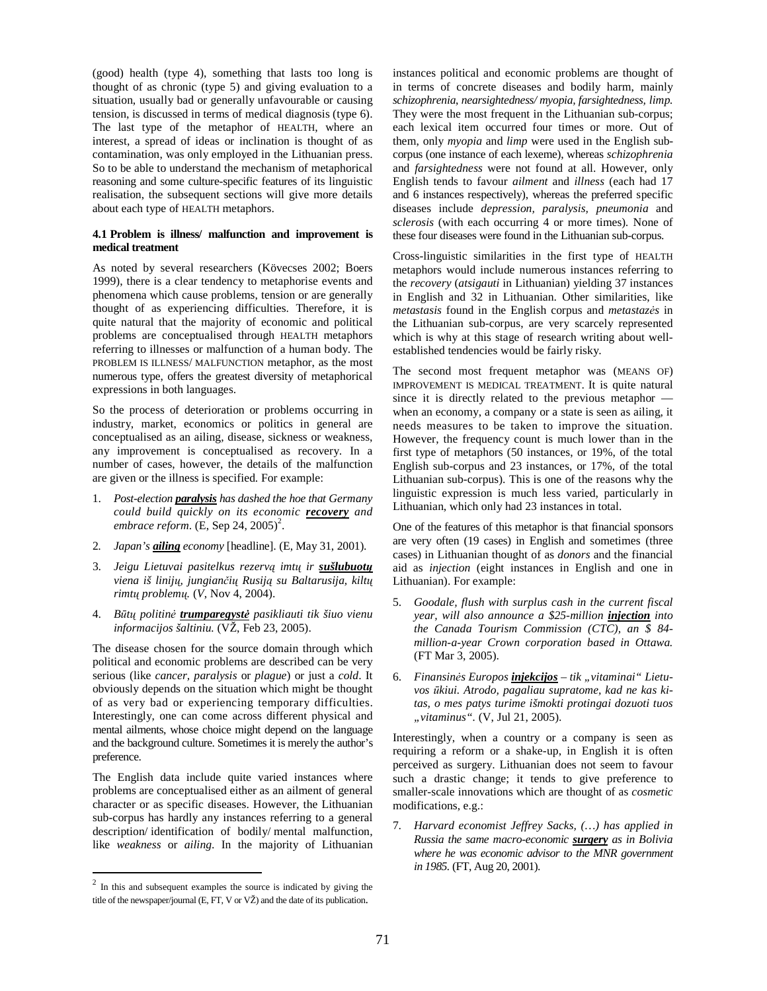(good) health (type 4), something that lasts too long is thought of as chronic (type 5) and giving evaluation to a situation, usually bad or generally unfavourable or causing tension, is discussed in terms of medical diagnosis (type 6). The last type of the metaphor of HEALTH, where an interest, a spread of ideas or inclination is thought of as contamination, was only employed in the Lithuanian press. So to be able to understand the mechanism of metaphorical reasoning and some culture-specific features of its linguistic realisation, the subsequent sections will give more details about each type of HEALTH metaphors.

#### **4.1 Problem is illness/ malfunction and improvement is medical treatment**

As noted by several researchers (Kövecses 2002; Boers 1999), there is a clear tendency to metaphorise events and phenomena which cause problems, tension or are generally thought of as experiencing difficulties. Therefore, it is quite natural that the majority of economic and political problems are conceptualised through HEALTH metaphors referring to illnesses or malfunction of a human body. The PROBLEM IS ILLNESS/ MALFUNCTION metaphor, as the most numerous type, offers the greatest diversity of metaphorical expressions in both languages.

So the process of deterioration or problems occurring in industry, market, economics or politics in general are conceptualised as an ailing, disease, sickness or weakness, any improvement is conceptualised as recovery. In a number of cases, however, the details of the malfunction are given or the illness is specified. For example:

- 1. *Post-election paralysis has dashed the hoe that Germany could build quickly on its economic recovery and*   $embrace$  reform.  $(E,$  Sep 24, 2005)<sup>2</sup>.
- 2. *Japan's ailing economy* [headline]*.* (E, May 31, 2001).
- 3. *Jeigu Lietuvai pasitelkus rezerv*ą *imt*ų *ir sušlubuot*ų *viena iš linij*ų*, jungian*č*i*ų *Rusij*ą *su Baltarusija, kilt*ų *rimt*ų *problem*ų*.* (*V*, Nov 4, 2004).
- 4. *B*ū*t*ų *politin*÷ *trumparegyst*÷ *pasikliauti tik šiuo vienu informacijos šaltiniu.* (VŽ, Feb 23, 2005).

The disease chosen for the source domain through which political and economic problems are described can be very serious (like *cancer, paralysis* or *plague*) or just a *cold*. It obviously depends on the situation which might be thought of as very bad or experiencing temporary difficulties. Interestingly, one can come across different physical and mental ailments, whose choice might depend on the language and the background culture. Sometimes it is merely the author's preference.

The English data include quite varied instances where problems are conceptualised either as an ailment of general character or as specific diseases. However, the Lithuanian sub-corpus has hardly any instances referring to a general description/ identification of bodily/ mental malfunction, like *weakness* or *ailing*. In the majority of Lithuanian

 $\overline{a}$ 

instances political and economic problems are thought of in terms of concrete diseases and bodily harm, mainly *schizophrenia*, *nearsightedness/ myopia, farsightedness, limp.* They were the most frequent in the Lithuanian sub-corpus; each lexical item occurred four times or more. Out of them, only *myopia* and *limp* were used in the English subcorpus (one instance of each lexeme), whereas *schizophrenia* and *farsightedness* were not found at all. However, only English tends to favour *ailment* and *illness* (each had 17 and 6 instances respectively), whereas the preferred specific diseases include *depression, paralysis, pneumonia* and *sclerosis* (with each occurring 4 or more times)*.* None of these four diseases were found in the Lithuanian sub-corpus.

Cross-linguistic similarities in the first type of HEALTH metaphors would include numerous instances referring to the *recovery* (*atsigauti* in Lithuanian) yielding 37 instances in English and 32 in Lithuanian. Other similarities, like *metastasis* found in the English corpus and *metastazės* in the Lithuanian sub-corpus, are very scarcely represented which is why at this stage of research writing about wellestablished tendencies would be fairly risky.

The second most frequent metaphor was (MEANS OF) IMPROVEMENT IS MEDICAL TREATMENT. It is quite natural since it is directly related to the previous metaphor when an economy, a company or a state is seen as ailing, it needs measures to be taken to improve the situation. However, the frequency count is much lower than in the first type of metaphors (50 instances, or 19%, of the total English sub-corpus and 23 instances, or 17%, of the total Lithuanian sub-corpus). This is one of the reasons why the linguistic expression is much less varied, particularly in Lithuanian, which only had 23 instances in total.

One of the features of this metaphor is that financial sponsors are very often (19 cases) in English and sometimes (three cases) in Lithuanian thought of as *donors* and the financial aid as *injection* (eight instances in English and one in Lithuanian). For example:

- 5. *Goodale, flush with surplus cash in the current fiscal year, will also announce a \$25-million injection into the Canada Tourism Commission (CTC), an \$ 84 million-a-year Crown corporation based in Ottawa.*  (FT Mar 3, 2005).
- 6. Finansinės Europos **injekcijos** tik "vitaminai" Lietu*vos* ū*kiui. Atrodo, pagaliau supratome, kad ne kas kitas, o mes patys turime išmokti protingai dozuoti tuos "vitaminus".* (V, Jul 21, 2005).

Interestingly, when a country or a company is seen as requiring a reform or a shake-up, in English it is often perceived as surgery. Lithuanian does not seem to favour such a drastic change; it tends to give preference to smaller-scale innovations which are thought of as *cosmetic* modifications, e.g.:

7. *Harvard economist Jeffrey Sacks, (…) has applied in Russia the same macro-economic surgery as in Bolivia where he was economic advisor to the MNR government in 1985.* (FT, Aug 20, 2001).

 $2 \text{ In this and subsequent examples the source is indicated by giving the}$ title of the newspaper/journal (E, FT, V or VŽ) and the date of its publication.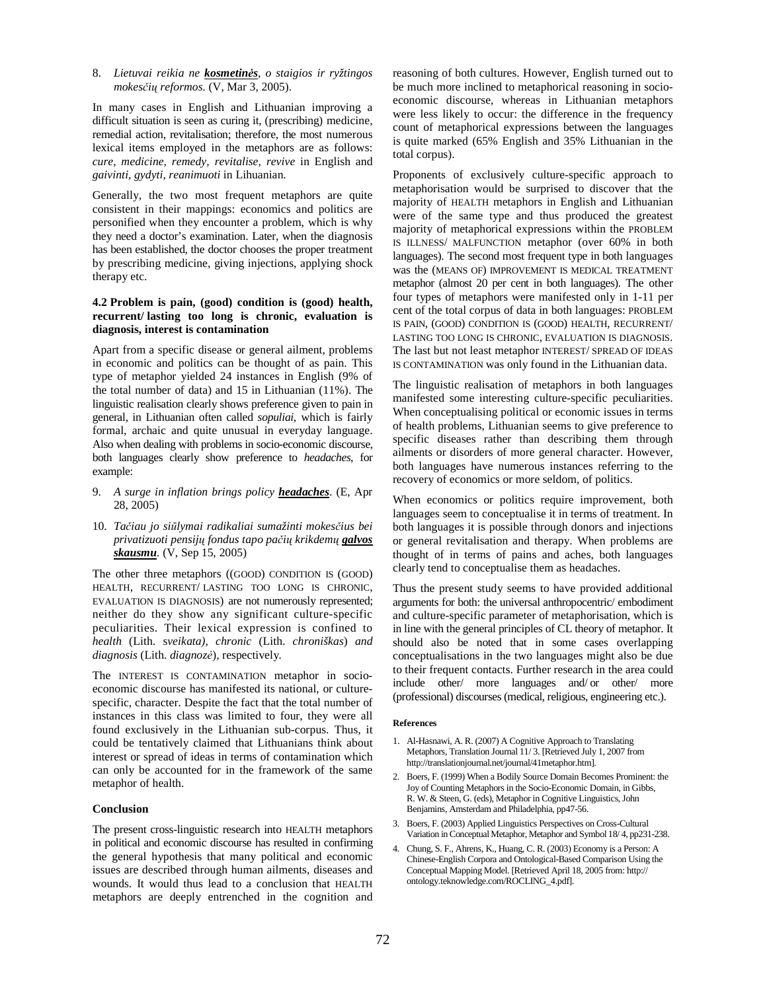### 8. Lietuvai reikia ne **kosmetinės**, o staigios ir ryžtingos *mokes*č*i*ų *reformos.* (V, Mar 3, 2005).

In many cases in English and Lithuanian improving a difficult situation is seen as curing it, (prescribing) medicine, remedial action, revitalisation; therefore, the most numerous lexical items employed in the metaphors are as follows: *cure, medicine, remedy, revitalise, revive* in English and *gaivinti, gydyti, reanimuoti* in Lihuanian.

Generally, the two most frequent metaphors are quite consistent in their mappings: economics and politics are personified when they encounter a problem, which is why they need a doctor's examination. Later, when the diagnosis has been established, the doctor chooses the proper treatment by prescribing medicine, giving injections, applying shock therapy etc.

### **4.2 Problem is pain, (good) condition is (good) health, recurrent/ lasting too long is chronic, evaluation is diagnosis, interest is contamination**

Apart from a specific disease or general ailment, problems in economic and politics can be thought of as pain. This type of metaphor yielded 24 instances in English (9% of the total number of data) and 15 in Lithuanian (11%). The linguistic realisation clearly shows preference given to pain in general, in Lithuanian often called *sopuliai*, which is fairly formal, archaic and quite unusual in everyday language. Also when dealing with problems in socio-economic discourse, both languages clearly show preference to *headaches*, for example:

- 9. *A surge in inflation brings policy headaches*. (E, Apr 28, 2005)
- 10. *Ta*č*iau jo si*ū*lymai radikaliai sumažinti mokes*č*ius bei privatizuoti pensij*ų *fondus tapo pa*č*i*ų *krikdem*ų *galvos skausmu.* (V, Sep 15, 2005)

The other three metaphors ((GOOD) CONDITION IS (GOOD) HEALTH, RECURRENT/ LASTING TOO LONG IS CHRONIC, EVALUATION IS DIAGNOSIS) are not numerously represented; neither do they show any significant culture-specific peculiarities. Their lexical expression is confined to *health* (Lith. s*veikata), chronic* (Lith. *chroniškas*) *and diagnosis* (Lith. *diagnoz*÷)*,* respectively*.* 

The INTEREST IS CONTAMINATION metaphor in socioeconomic discourse has manifested its national, or culturespecific, character. Despite the fact that the total number of instances in this class was limited to four, they were all found exclusively in the Lithuanian sub-corpus. Thus, it could be tentatively claimed that Lithuanians think about interest or spread of ideas in terms of contamination which can only be accounted for in the framework of the same metaphor of health.

#### **Conclusion**

The present cross-linguistic research into HEALTH metaphors in political and economic discourse has resulted in confirming the general hypothesis that many political and economic issues are described through human ailments, diseases and wounds. It would thus lead to a conclusion that HEALTH metaphors are deeply entrenched in the cognition and reasoning of both cultures. However, English turned out to be much more inclined to metaphorical reasoning in socioeconomic discourse, whereas in Lithuanian metaphors were less likely to occur: the difference in the frequency count of metaphorical expressions between the languages is quite marked (65% English and 35% Lithuanian in the total corpus).

Proponents of exclusively culture-specific approach to metaphorisation would be surprised to discover that the majority of HEALTH metaphors in English and Lithuanian were of the same type and thus produced the greatest majority of metaphorical expressions within the PROBLEM IS ILLNESS/ MALFUNCTION metaphor (over 60% in both languages). The second most frequent type in both languages was the (MEANS OF) IMPROVEMENT IS MEDICAL TREATMENT metaphor (almost 20 per cent in both languages). The other four types of metaphors were manifested only in 1-11 per cent of the total corpus of data in both languages: PROBLEM IS PAIN, (GOOD) CONDITION IS (GOOD) HEALTH, RECURRENT/ LASTING TOO LONG IS CHRONIC, EVALUATION IS DIAGNOSIS. The last but not least metaphor INTEREST/ SPREAD OF IDEAS IS CONTAMINATION was only found in the Lithuanian data.

The linguistic realisation of metaphors in both languages manifested some interesting culture-specific peculiarities. When conceptualising political or economic issues in terms of health problems, Lithuanian seems to give preference to specific diseases rather than describing them through ailments or disorders of more general character. However, both languages have numerous instances referring to the recovery of economics or more seldom, of politics.

When economics or politics require improvement, both languages seem to conceptualise it in terms of treatment. In both languages it is possible through donors and injections or general revitalisation and therapy. When problems are thought of in terms of pains and aches, both languages clearly tend to conceptualise them as headaches.

Thus the present study seems to have provided additional arguments for both: the universal anthropocentric/ embodiment and culture-specific parameter of metaphorisation, which is in line with the general principles of CL theory of metaphor. It should also be noted that in some cases overlapping conceptualisations in the two languages might also be due to their frequent contacts. Further research in the area could include other/ more languages and/ or other/ more (professional) discourses (medical, religious, engineering etc.).

#### **References**

- 1. Al-Hasnawi, A. R. (2007) A Cognitive Approach to Translating Metaphors, Translation Journal 11/ 3. [Retrieved July 1, 2007 from http://translationjournal.net/journal/41metaphor.htm].
- 2. Boers, F. (1999) When a Bodily Source Domain Becomes Prominent: the Joy of Counting Metaphors in the Socio-Economic Domain, in Gibbs, R. W. & Steen, G. (eds), Metaphor in Cognitive Linguistics, John Benjamins, Amsterdam and Philadelphia, pp47-56.
- 3. Boers, F. (2003) Applied Linguistics Perspectives on Cross-Cultural Variation in Conceptual Metaphor, Metaphor and Symbol 18/ 4, pp231-238.
- 4. Chung, S. F., Ahrens, K., Huang, C. R. (2003) Economy is a Person: A Chinese-English Corpora and Ontological-Based Comparison Using the Conceptual Mapping Model. [Retrieved April 18, 2005 from: http:// ontology.teknowledge.com/ROCLING\_4.pdf].